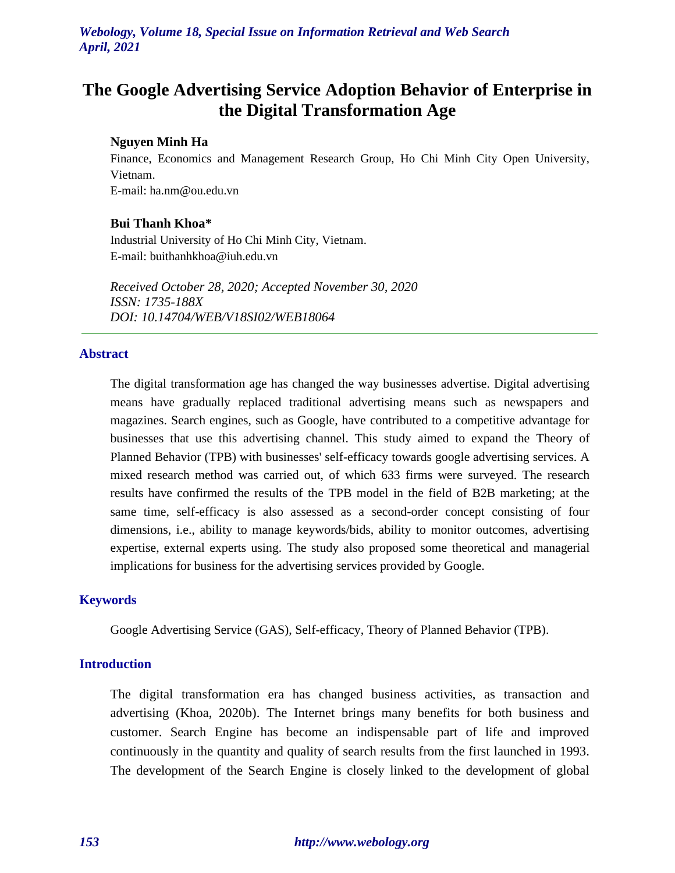# **The Google Advertising Service Adoption Behavior of Enterprise in the Digital Transformation Age**

#### **Nguyen Minh Ha**

Finance, Economics and Management Research Group, Ho Chi Minh City Open University, Vietnam.

E-mail: ha.nm@ou.edu.vn

## **Bui Thanh Khoa\***

Industrial University of Ho Chi Minh City, Vietnam. E-mail: buithanhkhoa@iuh.edu.vn

*Received October 28, 2020; Accepted November 30, 2020 ISSN: 1735-188X DOI: 10.14704/WEB/V18SI02/WEB18064*

#### **Abstract**

The digital transformation age has changed the way businesses advertise. Digital advertising means have gradually replaced traditional advertising means such as newspapers and magazines. Search engines, such as Google, have contributed to a competitive advantage for businesses that use this advertising channel. This study aimed to expand the Theory of Planned Behavior (TPB) with businesses' self-efficacy towards google advertising services. A mixed research method was carried out, of which 633 firms were surveyed. The research results have confirmed the results of the TPB model in the field of B2B marketing; at the same time, self-efficacy is also assessed as a second-order concept consisting of four dimensions, i.e., ability to manage keywords/bids, ability to monitor outcomes, advertising expertise, external experts using. The study also proposed some theoretical and managerial implications for business for the advertising services provided by Google.

#### **Keywords**

Google Advertising Service (GAS), Self-efficacy, Theory of Planned Behavior (TPB).

## **Introduction**

The digital transformation era has changed business activities, as transaction and advertising (Khoa, 2020b). The Internet brings many benefits for both business and customer. Search Engine has become an indispensable part of life and improved continuously in the quantity and quality of search results from the first launched in 1993. The development of the Search Engine is closely linked to the development of global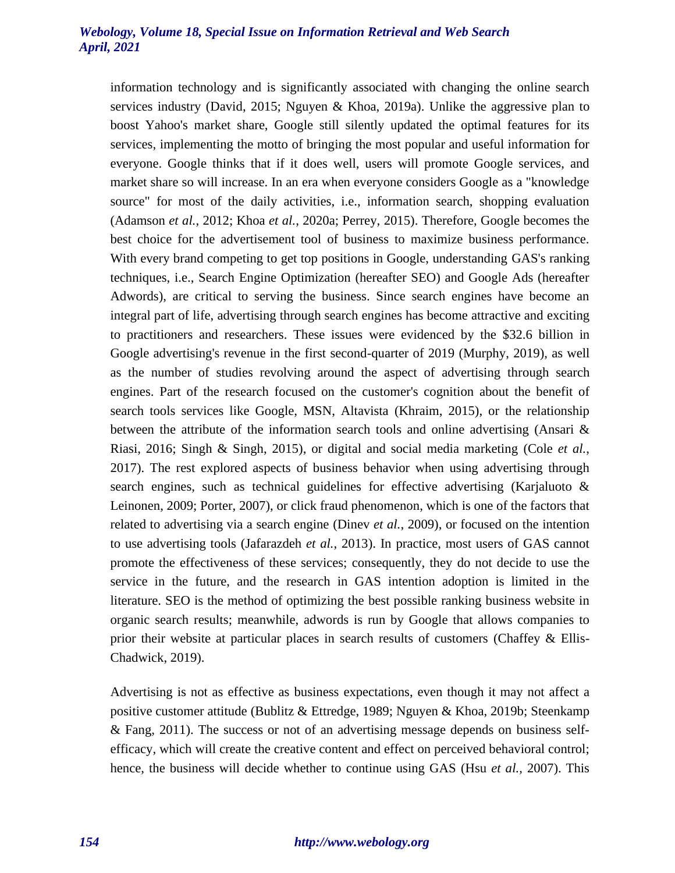information technology and is significantly associated with changing the online search services industry (David, 2015; Nguyen & Khoa, 2019a). Unlike the aggressive plan to boost Yahoo's market share, Google still silently updated the optimal features for its services, implementing the motto of bringing the most popular and useful information for everyone. Google thinks that if it does well, users will promote Google services, and market share so will increase. In an era when everyone considers Google as a "knowledge source" for most of the daily activities, i.e., information search, shopping evaluation (Adamson *et al.*, 2012; Khoa *et al.*, 2020a; Perrey, 2015). Therefore, Google becomes the best choice for the advertisement tool of business to maximize business performance. With every brand competing to get top positions in Google, understanding GAS's ranking techniques, i.e., Search Engine Optimization (hereafter SEO) and Google Ads (hereafter Adwords), are critical to serving the business. Since search engines have become an integral part of life, advertising through search engines has become attractive and exciting to practitioners and researchers. These issues were evidenced by the \$32.6 billion in Google advertising's revenue in the first second-quarter of 2019 (Murphy, 2019), as well as the number of studies revolving around the aspect of advertising through search engines. Part of the research focused on the customer's cognition about the benefit of search tools services like Google, MSN, Altavista (Khraim, 2015), or the relationship between the attribute of the information search tools and online advertising (Ansari & Riasi, 2016; Singh & Singh, 2015), or digital and social media marketing (Cole *et al.*, 2017). The rest explored aspects of business behavior when using advertising through search engines, such as technical guidelines for effective advertising (Karjaluoto  $\&$ Leinonen, 2009; Porter, 2007), or click fraud phenomenon, which is one of the factors that related to advertising via a search engine (Dinev *et al.*, 2009), or focused on the intention to use advertising tools (Jafarazdeh *et al.*, 2013). In practice, most users of GAS cannot promote the effectiveness of these services; consequently, they do not decide to use the service in the future, and the research in GAS intention adoption is limited in the literature. SEO is the method of optimizing the best possible ranking business website in organic search results; meanwhile, adwords is run by Google that allows companies to prior their website at particular places in search results of customers (Chaffey & Ellis-Chadwick, 2019).

Advertising is not as effective as business expectations, even though it may not affect a positive customer attitude (Bublitz & Ettredge, 1989; Nguyen & Khoa, 2019b; Steenkamp & Fang, 2011). The success or not of an advertising message depends on business selfefficacy, which will create the creative content and effect on perceived behavioral control; hence, the business will decide whether to continue using GAS (Hsu *et al.*, 2007). This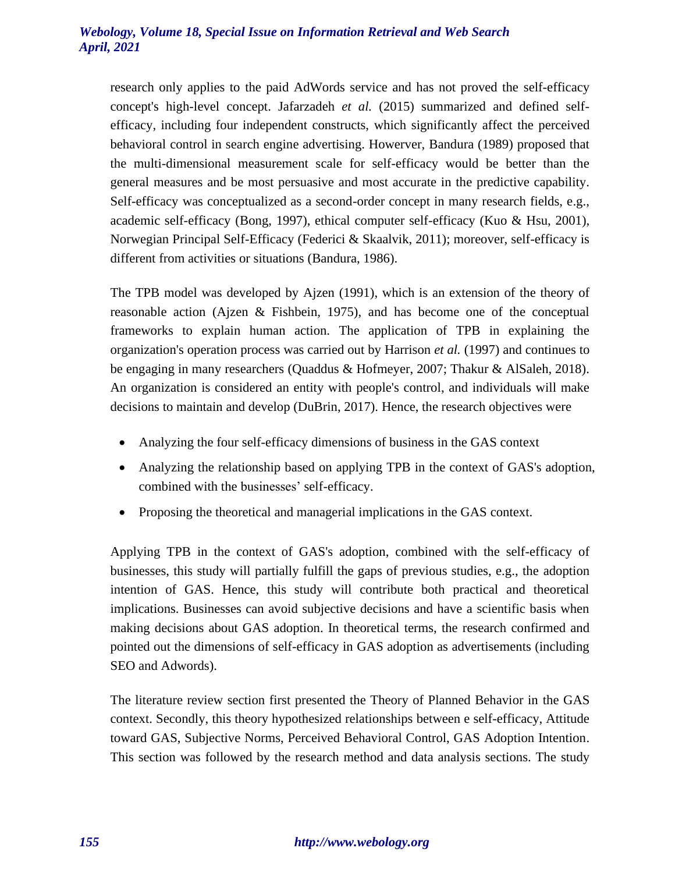research only applies to the paid AdWords service and has not proved the self-efficacy concept's high-level concept. Jafarzadeh *et al.* (2015) summarized and defined selfefficacy, including four independent constructs, which significantly affect the perceived behavioral control in search engine advertising. Howerver, Bandura (1989) proposed that the multi-dimensional measurement scale for self-efficacy would be better than the general measures and be most persuasive and most accurate in the predictive capability. Self-efficacy was conceptualized as a second-order concept in many research fields, e.g., academic self-efficacy (Bong, 1997), ethical computer self-efficacy (Kuo & Hsu, 2001), Norwegian Principal Self-Efficacy (Federici & Skaalvik, 2011); moreover, self-efficacy is different from activities or situations (Bandura, 1986).

The TPB model was developed by Ajzen (1991), which is an extension of the theory of reasonable action (Ajzen & Fishbein, 1975), and has become one of the conceptual frameworks to explain human action. The application of TPB in explaining the organization's operation process was carried out by Harrison *et al.* (1997) and continues to be engaging in many researchers (Quaddus & Hofmeyer, 2007; Thakur & AlSaleh, 2018). An organization is considered an entity with people's control, and individuals will make decisions to maintain and develop (DuBrin, 2017). Hence, the research objectives were

- Analyzing the four self-efficacy dimensions of business in the GAS context
- Analyzing the relationship based on applying TPB in the context of GAS's adoption, combined with the businesses' self-efficacy.
- Proposing the theoretical and managerial implications in the GAS context.

Applying TPB in the context of GAS's adoption, combined with the self-efficacy of businesses, this study will partially fulfill the gaps of previous studies, e.g., the adoption intention of GAS. Hence, this study will contribute both practical and theoretical implications. Businesses can avoid subjective decisions and have a scientific basis when making decisions about GAS adoption. In theoretical terms, the research confirmed and pointed out the dimensions of self-efficacy in GAS adoption as advertisements (including SEO and Adwords).

The literature review section first presented the Theory of Planned Behavior in the GAS context. Secondly, this theory hypothesized relationships between e self-efficacy, Attitude toward GAS, Subjective Norms, Perceived Behavioral Control, GAS Adoption Intention. This section was followed by the research method and data analysis sections. The study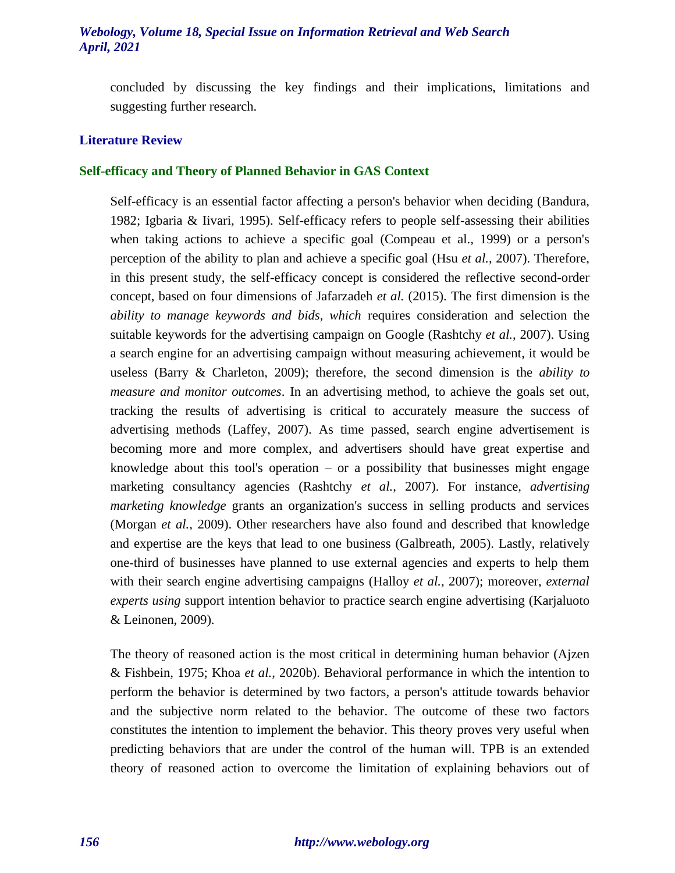concluded by discussing the key findings and their implications, limitations and suggesting further research.

## **Literature Review**

#### **Self-efficacy and Theory of Planned Behavior in GAS Context**

Self-efficacy is an essential factor affecting a person's behavior when deciding (Bandura, 1982; Igbaria & Iivari, 1995). Self-efficacy refers to people self-assessing their abilities when taking actions to achieve a specific goal (Compeau et al., 1999) or a person's perception of the ability to plan and achieve a specific goal (Hsu *et al.*, 2007). Therefore, in this present study, the self-efficacy concept is considered the reflective second-order concept, based on four dimensions of Jafarzadeh *et al.* (2015). The first dimension is the *ability to manage keywords and bids, which* requires consideration and selection the suitable keywords for the advertising campaign on Google (Rashtchy *et al.*, 2007). Using a search engine for an advertising campaign without measuring achievement, it would be useless (Barry & Charleton, 2009); therefore, the second dimension is the *ability to measure and monitor outcomes*. In an advertising method, to achieve the goals set out, tracking the results of advertising is critical to accurately measure the success of advertising methods (Laffey, 2007). As time passed, search engine advertisement is becoming more and more complex, and advertisers should have great expertise and knowledge about this tool's operation  $-$  or a possibility that businesses might engage marketing consultancy agencies (Rashtchy *et al.*, 2007). For instance, *advertising marketing knowledge* grants an organization's success in selling products and services (Morgan *et al.*, 2009). Other researchers have also found and described that knowledge and expertise are the keys that lead to one business (Galbreath, 2005). Lastly, relatively one-third of businesses have planned to use external agencies and experts to help them with their search engine advertising campaigns (Halloy *et al.*, 2007); moreover, *external experts using* support intention behavior to practice search engine advertising (Karjaluoto & Leinonen, 2009).

The theory of reasoned action is the most critical in determining human behavior (Ajzen & Fishbein, 1975; Khoa *et al.*, 2020b). Behavioral performance in which the intention to perform the behavior is determined by two factors, a person's attitude towards behavior and the subjective norm related to the behavior. The outcome of these two factors constitutes the intention to implement the behavior. This theory proves very useful when predicting behaviors that are under the control of the human will. TPB is an extended theory of reasoned action to overcome the limitation of explaining behaviors out of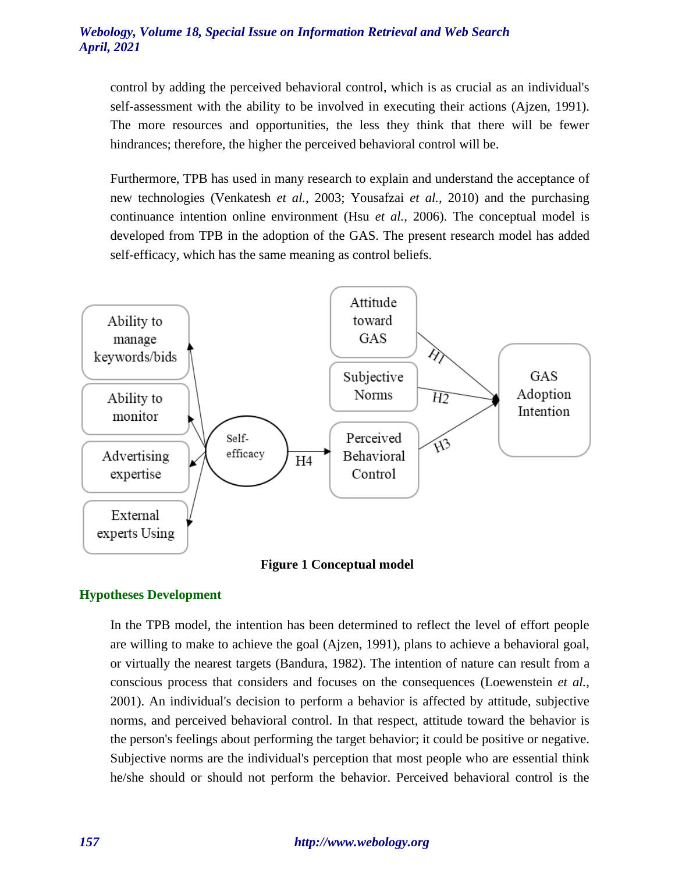control by adding the perceived behavioral control, which is as crucial as an individual's self-assessment with the ability to be involved in executing their actions (Ajzen, 1991). The more resources and opportunities, the less they think that there will be fewer hindrances; therefore, the higher the perceived behavioral control will be.

Furthermore, TPB has used in many research to explain and understand the acceptance of new technologies (Venkatesh *et al.*, 2003; Yousafzai *et al.*, 2010) and the purchasing continuance intention online environment (Hsu *et al.*, 2006). The conceptual model is developed from TPB in the adoption of the GAS. The present research model has added self-efficacy, which has the same meaning as control beliefs.



**Figure 1 Conceptual model**

## **Hypotheses Development**

In the TPB model, the intention has been determined to reflect the level of effort people are willing to make to achieve the goal (Ajzen, 1991), plans to achieve a behavioral goal, or virtually the nearest targets (Bandura, 1982). The intention of nature can result from a conscious process that considers and focuses on the consequences (Loewenstein *et al.*, 2001). An individual's decision to perform a behavior is affected by attitude, subjective norms, and perceived behavioral control. In that respect, attitude toward the behavior is the person's feelings about performing the target behavior; it could be positive or negative. Subjective norms are the individual's perception that most people who are essential think he/she should or should not perform the behavior. Perceived behavioral control is the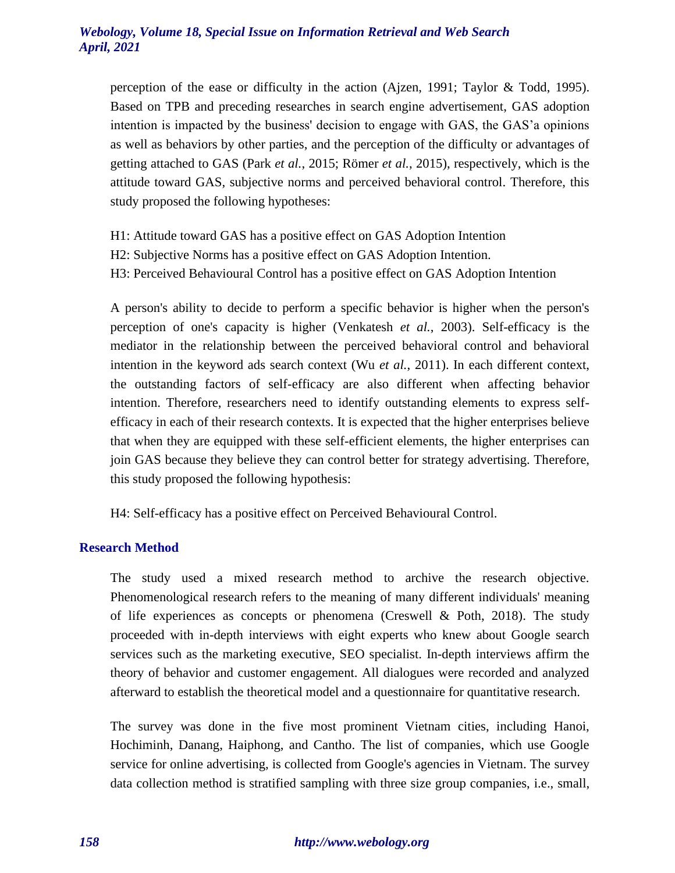perception of the ease or difficulty in the action (Ajzen, 1991; Taylor & Todd, 1995). Based on TPB and preceding researches in search engine advertisement, GAS adoption intention is impacted by the business' decision to engage with GAS, the GAS'a opinions as well as behaviors by other parties, and the perception of the difficulty or advantages of getting attached to GAS (Park *et al.*, 2015; Römer *et al.*, 2015), respectively, which is the attitude toward GAS, subjective norms and perceived behavioral control. Therefore, this study proposed the following hypotheses:

- H1: Attitude toward GAS has a positive effect on GAS Adoption Intention
- H2: Subjective Norms has a positive effect on GAS Adoption Intention.
- H3: Perceived Behavioural Control has a positive effect on GAS Adoption Intention

A person's ability to decide to perform a specific behavior is higher when the person's perception of one's capacity is higher (Venkatesh *et al.*, 2003). Self-efficacy is the mediator in the relationship between the perceived behavioral control and behavioral intention in the keyword ads search context (Wu *et al.*, 2011). In each different context, the outstanding factors of self-efficacy are also different when affecting behavior intention. Therefore, researchers need to identify outstanding elements to express selfefficacy in each of their research contexts. It is expected that the higher enterprises believe that when they are equipped with these self-efficient elements, the higher enterprises can join GAS because they believe they can control better for strategy advertising. Therefore, this study proposed the following hypothesis:

H4: Self-efficacy has a positive effect on Perceived Behavioural Control.

#### **Research Method**

The study used a mixed research method to archive the research objective. Phenomenological research refers to the meaning of many different individuals' meaning of life experiences as concepts or phenomena (Creswell & Poth, 2018). The study proceeded with in-depth interviews with eight experts who knew about Google search services such as the marketing executive, SEO specialist. In-depth interviews affirm the theory of behavior and customer engagement. All dialogues were recorded and analyzed afterward to establish the theoretical model and a questionnaire for quantitative research.

The survey was done in the five most prominent Vietnam cities, including Hanoi, Hochiminh, Danang, Haiphong, and Cantho. The list of companies, which use Google service for online advertising, is collected from Google's agencies in Vietnam. The survey data collection method is stratified sampling with three size group companies, i.e., small,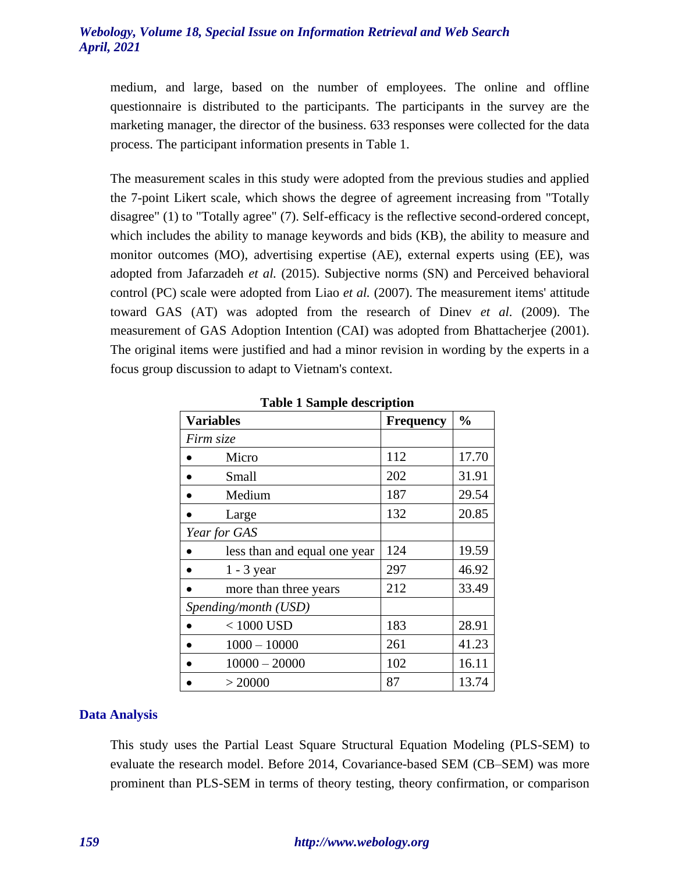medium, and large, based on the number of employees. The online and offline questionnaire is distributed to the participants. The participants in the survey are the marketing manager, the director of the business. 633 responses were collected for the data process. The participant information presents in Table 1.

The measurement scales in this study were adopted from the previous studies and applied the 7-point Likert scale, which shows the degree of agreement increasing from "Totally disagree" (1) to "Totally agree" (7). Self-efficacy is the reflective second-ordered concept, which includes the ability to manage keywords and bids (KB), the ability to measure and monitor outcomes (MO), advertising expertise (AE), external experts using (EE), was adopted from Jafarzadeh *et al.* (2015). Subjective norms (SN) and Perceived behavioral control (PC) scale were adopted from Liao *et al.* (2007). The measurement items' attitude toward GAS (AT) was adopted from the research of Dinev *et al.* (2009). The measurement of GAS Adoption Intention (CAI) was adopted from Bhattacherjee (2001). The original items were justified and had a minor revision in wording by the experts in a focus group discussion to adapt to Vietnam's context.

| <b>Variables</b>             | <b>Frequency</b> | $\frac{0}{0}$ |
|------------------------------|------------------|---------------|
| Firm size                    |                  |               |
| Micro                        | 112              | 17.70         |
| Small                        | 202              | 31.91         |
| Medium                       | 187              | 29.54         |
| Large                        | 132              | 20.85         |
| Year for GAS                 |                  |               |
| less than and equal one year | 124              | 19.59         |
| $1 - 3$ year                 | 297              | 46.92         |
| more than three years        | 212              | 33.49         |
| Spending/month (USD)         |                  |               |
| $< 1000$ USD                 | 183              | 28.91         |
| $1000 - 10000$               | 261              | 41.23         |
| $10000 - 20000$              | 102              | 16.11         |
| > 20000                      | 87               | 13.74         |

**Table 1 Sample description**

## **Data Analysis**

This study uses the Partial Least Square Structural Equation Modeling (PLS-SEM) to evaluate the research model. Before 2014, Covariance-based SEM (CB–SEM) was more prominent than PLS-SEM in terms of theory testing, theory confirmation, or comparison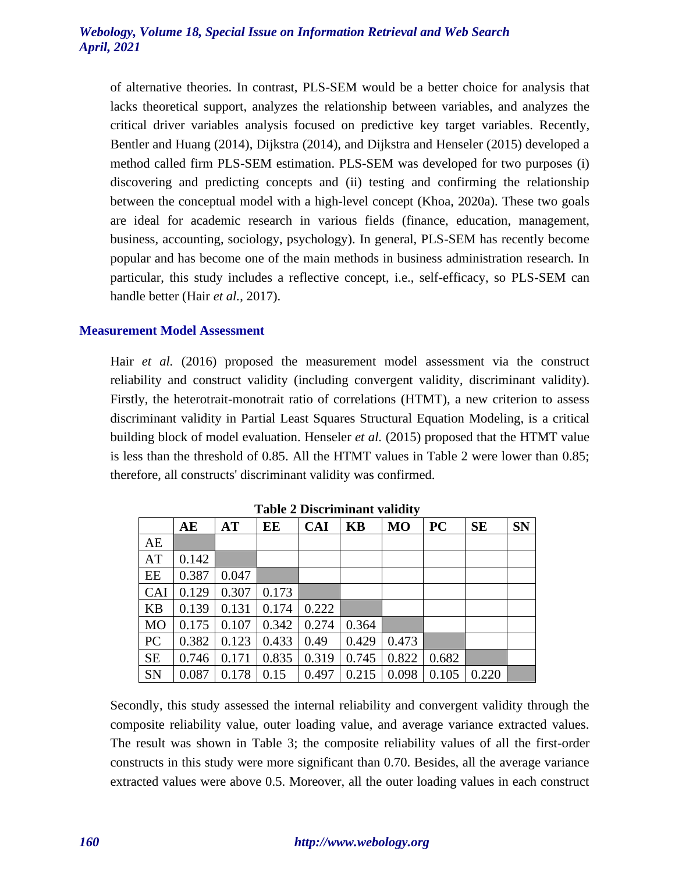of alternative theories. In contrast, PLS-SEM would be a better choice for analysis that lacks theoretical support, analyzes the relationship between variables, and analyzes the critical driver variables analysis focused on predictive key target variables. Recently, Bentler and Huang (2014), Dijkstra (2014), and Dijkstra and Henseler (2015) developed a method called firm PLS-SEM estimation. PLS-SEM was developed for two purposes (i) discovering and predicting concepts and (ii) testing and confirming the relationship between the conceptual model with a high-level concept (Khoa, 2020a). These two goals are ideal for academic research in various fields (finance, education, management, business, accounting, sociology, psychology). In general, PLS-SEM has recently become popular and has become one of the main methods in business administration research. In particular, this study includes a reflective concept, i.e., self-efficacy, so PLS-SEM can handle better (Hair *et al.*, 2017).

## **Measurement Model Assessment**

Hair *et al.* (2016) proposed the measurement model assessment via the construct reliability and construct validity (including convergent validity, discriminant validity). Firstly, the heterotrait-monotrait ratio of correlations (HTMT), a new criterion to assess discriminant validity in Partial Least Squares Structural Equation Modeling, is a critical building block of model evaluation. Henseler *et al.* (2015) proposed that the HTMT value is less than the threshold of 0.85. All the HTMT values in Table 2 were lower than 0.85; therefore, all constructs' discriminant validity was confirmed.

|            | AE    | <b>AT</b> | EЕ    | <b>CAI</b> | <b>KB</b> | <b>MO</b> | <b>PC</b> | <b>SE</b> | <b>SN</b> |
|------------|-------|-----------|-------|------------|-----------|-----------|-----------|-----------|-----------|
| AE         |       |           |       |            |           |           |           |           |           |
| AT         | 0.142 |           |       |            |           |           |           |           |           |
| EE         | 0.387 | 0.047     |       |            |           |           |           |           |           |
| <b>CAI</b> | 0.129 | 0.307     | 0.173 |            |           |           |           |           |           |
| <b>KB</b>  | 0.139 | 0.131     | 0.174 | 0.222      |           |           |           |           |           |
| <b>MO</b>  | 0.175 | 0.107     | 0.342 | 0.274      | 0.364     |           |           |           |           |
| PC         | 0.382 | 0.123     | 0.433 | 0.49       | 0.429     | 0.473     |           |           |           |
| <b>SE</b>  | 0.746 | 0.171     | 0.835 | 0.319      | 0.745     | 0.822     | 0.682     |           |           |
| SN         | 0.087 | 0.178     | 0.15  | 0.497      | 0.215     | 0.098     | 0.105     | 0.220     |           |

**Table 2 Discriminant validity**

Secondly, this study assessed the internal reliability and convergent validity through the composite reliability value, outer loading value, and average variance extracted values. The result was shown in Table 3; the composite reliability values of all the first-order constructs in this study were more significant than 0.70. Besides, all the average variance extracted values were above 0.5. Moreover, all the outer loading values in each construct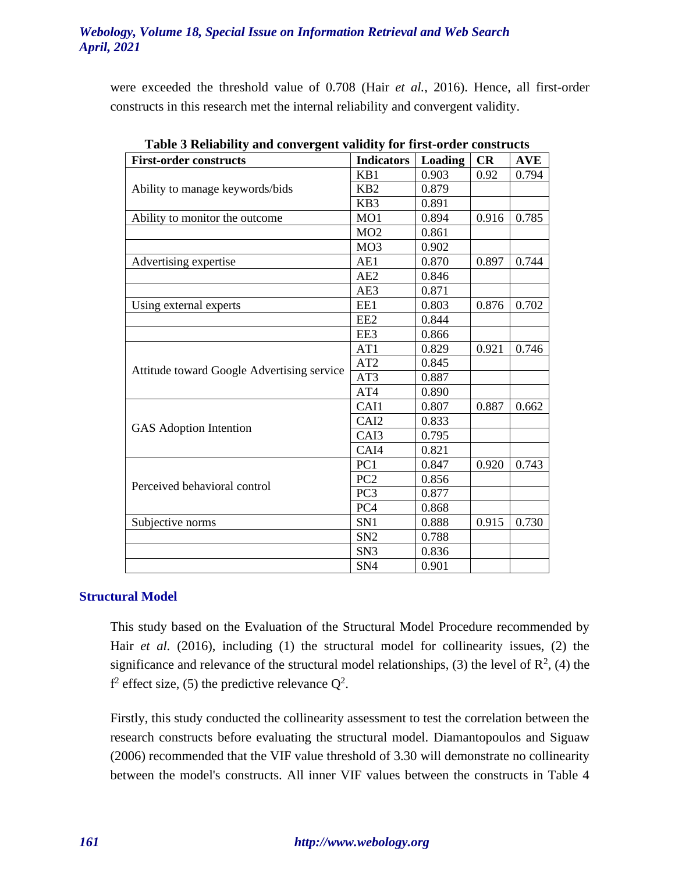were exceeded the threshold value of 0.708 (Hair *et al.*, 2016). Hence, all first-order constructs in this research met the internal reliability and convergent validity.

| <b>First-order constructs</b>              | <b>Indicators</b> | Loading | CR    | <b>AVE</b> |
|--------------------------------------------|-------------------|---------|-------|------------|
|                                            | KB1               | 0.903   | 0.92  | 0.794      |
| Ability to manage keywords/bids            | K <sub>B</sub> 2  | 0.879   |       |            |
|                                            | KB3               | 0.891   |       |            |
| Ability to monitor the outcome             | MO1               | 0.894   | 0.916 | 0.785      |
|                                            | MO <sub>2</sub>   | 0.861   |       |            |
|                                            | MO <sub>3</sub>   | 0.902   |       |            |
| Advertising expertise                      | AE1               | 0.870   | 0.897 | 0.744      |
|                                            | AE <sub>2</sub>   | 0.846   |       |            |
|                                            | AE3               | 0.871   |       |            |
| Using external experts                     | EE1               | 0.803   | 0.876 | 0.702      |
|                                            | EE <sub>2</sub>   | 0.844   |       |            |
|                                            | EE3               | 0.866   |       |            |
|                                            | AT1               | 0.829   | 0.921 | 0.746      |
|                                            | AT <sub>2</sub>   | 0.845   |       |            |
| Attitude toward Google Advertising service | AT3               | 0.887   |       |            |
|                                            | AT4               | 0.890   |       |            |
|                                            | CAI1              | 0.807   | 0.887 | 0.662      |
|                                            | CAI <sub>2</sub>  | 0.833   |       |            |
| GAS Adoption Intention                     | CAI3              | 0.795   |       |            |
|                                            | CAI4              | 0.821   |       |            |
|                                            | PC1               | 0.847   | 0.920 | 0.743      |
| Perceived behavioral control               | PC <sub>2</sub>   | 0.856   |       |            |
|                                            | PC <sub>3</sub>   | 0.877   |       |            |
|                                            | PC4               | 0.868   |       |            |
| Subjective norms                           | SN1               | 0.888   | 0.915 | 0.730      |
|                                            | SN <sub>2</sub>   | 0.788   |       |            |
|                                            | SN <sub>3</sub>   | 0.836   |       |            |
|                                            | SN <sub>4</sub>   | 0.901   |       |            |

**Table 3 Reliability and convergent validity for first-order constructs**

## **Structural Model**

This study based on the Evaluation of the Structural Model Procedure recommended by Hair *et al.* (2016), including (1) the structural model for collinearity issues, (2) the significance and relevance of the structural model relationships, (3) the level of  $\mathbb{R}^2$ , (4) the  $f^2$  effect size, (5) the predictive relevance  $Q^2$ .

Firstly, this study conducted the collinearity assessment to test the correlation between the research constructs before evaluating the structural model. Diamantopoulos and Siguaw (2006) recommended that the VIF value threshold of 3.30 will demonstrate no collinearity between the model's constructs. All inner VIF values between the constructs in Table 4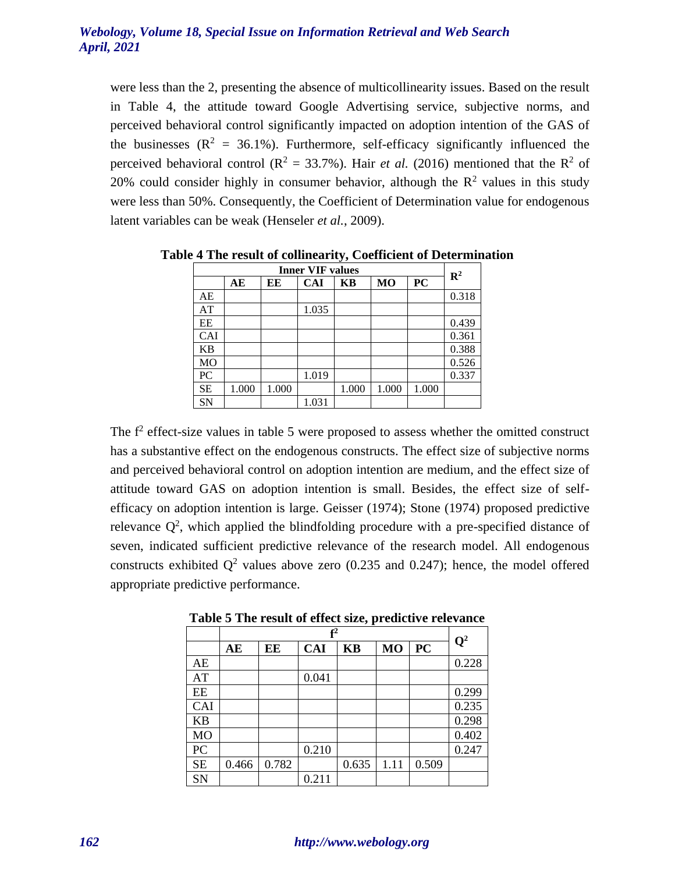were less than the 2, presenting the absence of multicollinearity issues. Based on the result in Table 4, the attitude toward Google Advertising service, subjective norms, and perceived behavioral control significantly impacted on adoption intention of the GAS of the businesses  $(R^2 = 36.1\%)$ . Furthermore, self-efficacy significantly influenced the perceived behavioral control ( $\mathbb{R}^2 = 33.7\%$ ). Hair *et al.* (2016) mentioned that the  $\mathbb{R}^2$  of 20% could consider highly in consumer behavior, although the  $\mathbb{R}^2$  values in this study were less than 50%. Consequently, the Coefficient of Determination value for endogenous latent variables can be weak (Henseler *et al.*, 2009).

| <b>Inner VIF values</b> |       |       |            |       |       | $\mathbf{R}^2$ |       |
|-------------------------|-------|-------|------------|-------|-------|----------------|-------|
|                         | AЕ    | ЕE    | <b>CAI</b> | KВ    | MO    | <b>PC</b>      |       |
| AE                      |       |       |            |       |       |                | 0.318 |
| AT                      |       |       | 1.035      |       |       |                |       |
| EE                      |       |       |            |       |       |                | 0.439 |
| CAI                     |       |       |            |       |       |                | 0.361 |
| <b>KB</b>               |       |       |            |       |       |                | 0.388 |
| MO                      |       |       |            |       |       |                | 0.526 |
| PC                      |       |       | 1.019      |       |       |                | 0.337 |
| <b>SE</b>               | 1.000 | 1.000 |            | 1.000 | 1.000 | 1.000          |       |
| SN                      |       |       | 1.031      |       |       |                |       |

**Table 4 The result of collinearity, Coefficient of Determination**

The  $f<sup>2</sup>$  effect-size values in table 5 were proposed to assess whether the omitted construct has a substantive effect on the endogenous constructs. The effect size of subjective norms and perceived behavioral control on adoption intention are medium, and the effect size of attitude toward GAS on adoption intention is small. Besides, the effect size of selfefficacy on adoption intention is large. Geisser (1974); Stone (1974) proposed predictive relevance  $Q^2$ , which applied the blindfolding procedure with a pre-specified distance of seven, indicated sufficient predictive relevance of the research model. All endogenous constructs exhibited  $Q^2$  values above zero (0.235 and 0.247); hence, the model offered appropriate predictive performance.

|           | ${\bf f}^2$ |       |            |       |                |       |                |
|-----------|-------------|-------|------------|-------|----------------|-------|----------------|
|           | AE          | EE    | <b>CAI</b> | KB    | M <sub>O</sub> | PC    | $\mathbf{Q}^2$ |
| AE        |             |       |            |       |                |       | 0.228          |
| AT        |             |       | 0.041      |       |                |       |                |
| EE        |             |       |            |       |                |       | 0.299          |
| CAI       |             |       |            |       |                |       | 0.235          |
| <b>KB</b> |             |       |            |       |                |       | 0.298          |
| MO        |             |       |            |       |                |       | 0.402          |
| PC        |             |       | 0.210      |       |                |       | 0.247          |
| <b>SE</b> | 0.466       | 0.782 |            | 0.635 | 1.11           | 0.509 |                |
| SN        |             |       | 0.211      |       |                |       |                |

**Table 5 The result of effect size, predictive relevance**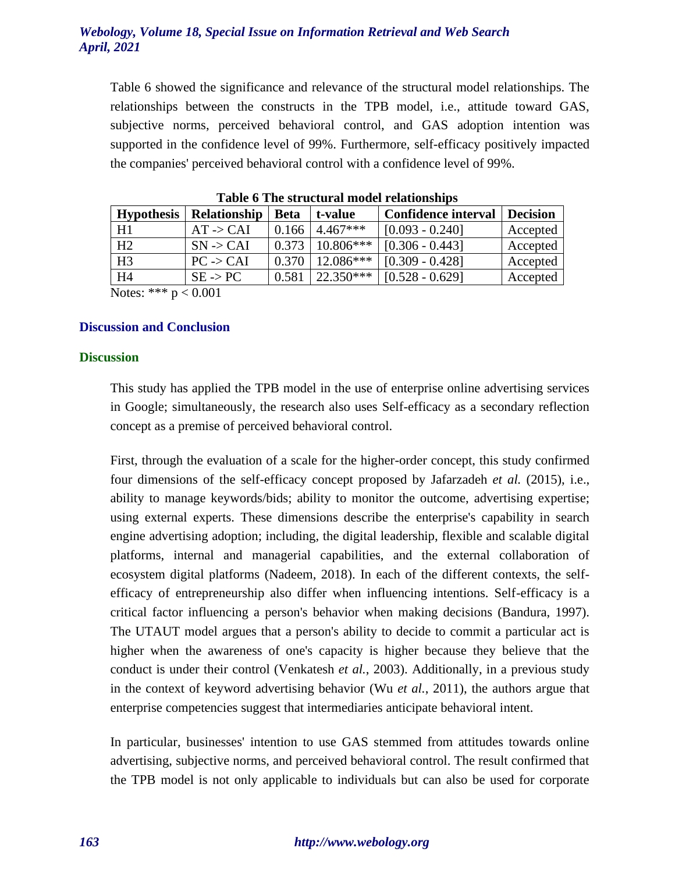Table 6 showed the significance and relevance of the structural model relationships. The relationships between the constructs in the TPB model, i.e., attitude toward GAS, subjective norms, perceived behavioral control, and GAS adoption intention was supported in the confidence level of 99%. Furthermore, self-efficacy positively impacted the companies' perceived behavioral control with a confidence level of 99%.

| <b>Hypothesis</b>                                                                                                                                                                                                                                                                                                                   | Relationship         | <b>Beta</b> | t-value     | <b>Confidence interval</b> | <b>Decision</b> |  |  |  |
|-------------------------------------------------------------------------------------------------------------------------------------------------------------------------------------------------------------------------------------------------------------------------------------------------------------------------------------|----------------------|-------------|-------------|----------------------------|-----------------|--|--|--|
| H1                                                                                                                                                                                                                                                                                                                                  | $AT \rightarrow CAI$ | 0.166       | $4.467***$  | $[0.093 - 0.240]$          | Accepted        |  |  |  |
| H <sub>2</sub>                                                                                                                                                                                                                                                                                                                      | $SN \rightarrow CAI$ | 0.373       | $10.806***$ | $[0.306 - 0.443]$          | Accepted        |  |  |  |
| H <sub>3</sub>                                                                                                                                                                                                                                                                                                                      | $PC \rightarrow CAI$ | 0.370       | $12.086***$ | $[0.309 - 0.428]$          | Accepted        |  |  |  |
| H <sub>4</sub>                                                                                                                                                                                                                                                                                                                      | $SE \rightarrow PC$  | 0.581       | $22.350***$ | $[0.528 - 0.629]$          | Accepted        |  |  |  |
| $\frac{N \cdot \text{C}}{N \cdot \text{C}}$ $\frac{1}{2}$ $\frac{1}{2}$ $\frac{1}{2}$ $\frac{1}{2}$ $\frac{1}{2}$ $\frac{1}{2}$ $\frac{1}{2}$ $\frac{1}{2}$ $\frac{1}{2}$ $\frac{1}{2}$ $\frac{1}{2}$ $\frac{1}{2}$ $\frac{1}{2}$ $\frac{1}{2}$ $\frac{1}{2}$ $\frac{1}{2}$ $\frac{1}{2}$ $\frac{1}{2}$ $\frac{1}{2}$ $\frac{1}{2}$ |                      |             |             |                            |                 |  |  |  |

**Table 6 The structural model relationships**

Notes:  $2.25 \times 10^{10}$  P  $\leq 0.001$ 

# **Discussion and Conclusion**

#### **Discussion**

This study has applied the TPB model in the use of enterprise online advertising services in Google; simultaneously, the research also uses Self-efficacy as a secondary reflection concept as a premise of perceived behavioral control.

First, through the evaluation of a scale for the higher-order concept, this study confirmed four dimensions of the self-efficacy concept proposed by Jafarzadeh *et al.* (2015), i.e., ability to manage keywords/bids; ability to monitor the outcome, advertising expertise; using external experts. These dimensions describe the enterprise's capability in search engine advertising adoption; including, the digital leadership, flexible and scalable digital platforms, internal and managerial capabilities, and the external collaboration of ecosystem digital platforms (Nadeem, 2018). In each of the different contexts, the selfefficacy of entrepreneurship also differ when influencing intentions. Self-efficacy is a critical factor influencing a person's behavior when making decisions (Bandura, 1997). The UTAUT model argues that a person's ability to decide to commit a particular act is higher when the awareness of one's capacity is higher because they believe that the conduct is under their control (Venkatesh *et al.*, 2003). Additionally, in a previous study in the context of keyword advertising behavior (Wu *et al.*, 2011), the authors argue that enterprise competencies suggest that intermediaries anticipate behavioral intent.

In particular, businesses' intention to use GAS stemmed from attitudes towards online advertising, subjective norms, and perceived behavioral control. The result confirmed that the TPB model is not only applicable to individuals but can also be used for corporate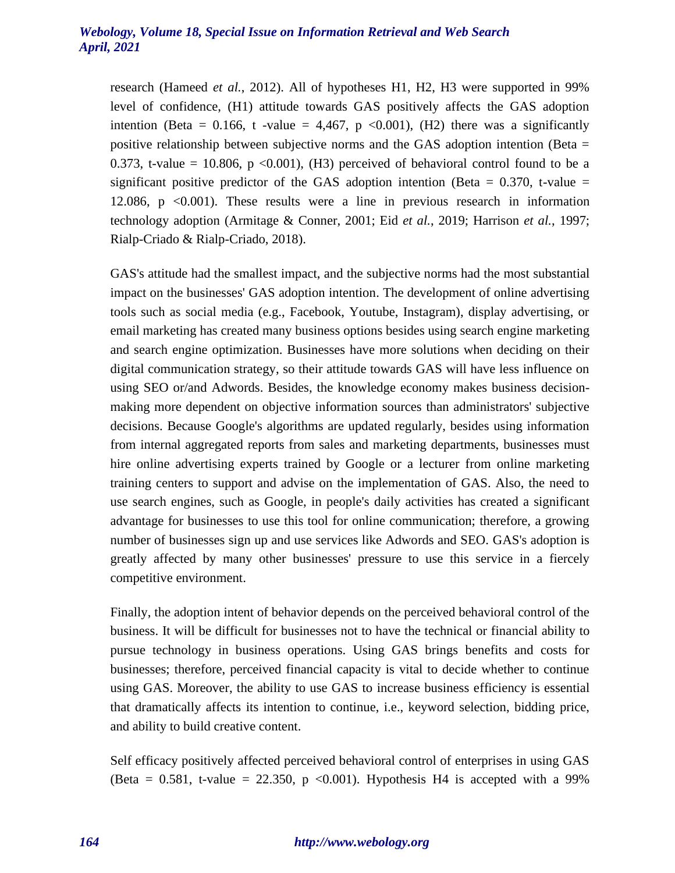research (Hameed *et al.*, 2012). All of hypotheses H1, H2, H3 were supported in 99% level of confidence, (H1) attitude towards GAS positively affects the GAS adoption intention (Beta = 0.166, t -value = 4,467, p <0.001), (H2) there was a significantly positive relationship between subjective norms and the GAS adoption intention (Beta = 0.373, t-value = 10.806,  $p \le 0.001$ ), (H3) perceived of behavioral control found to be a significant positive predictor of the GAS adoption intention (Beta  $= 0.370$ , t-value  $=$ 12.086, p <0.001). These results were a line in previous research in information technology adoption (Armitage & Conner, 2001; Eid *et al.*, 2019; Harrison *et al.*, 1997; Rialp-Criado & Rialp-Criado, 2018).

GAS's attitude had the smallest impact, and the subjective norms had the most substantial impact on the businesses' GAS adoption intention. The development of online advertising tools such as social media (e.g., Facebook, Youtube, Instagram), display advertising, or email marketing has created many business options besides using search engine marketing and search engine optimization. Businesses have more solutions when deciding on their digital communication strategy, so their attitude towards GAS will have less influence on using SEO or/and Adwords. Besides, the knowledge economy makes business decisionmaking more dependent on objective information sources than administrators' subjective decisions. Because Google's algorithms are updated regularly, besides using information from internal aggregated reports from sales and marketing departments, businesses must hire online advertising experts trained by Google or a lecturer from online marketing training centers to support and advise on the implementation of GAS. Also, the need to use search engines, such as Google, in people's daily activities has created a significant advantage for businesses to use this tool for online communication; therefore, a growing number of businesses sign up and use services like Adwords and SEO. GAS's adoption is greatly affected by many other businesses' pressure to use this service in a fiercely competitive environment.

Finally, the adoption intent of behavior depends on the perceived behavioral control of the business. It will be difficult for businesses not to have the technical or financial ability to pursue technology in business operations. Using GAS brings benefits and costs for businesses; therefore, perceived financial capacity is vital to decide whether to continue using GAS. Moreover, the ability to use GAS to increase business efficiency is essential that dramatically affects its intention to continue, i.e., keyword selection, bidding price, and ability to build creative content.

Self efficacy positively affected perceived behavioral control of enterprises in using GAS (Beta =  $0.581$ , t-value =  $22.350$ , p < 0.001). Hypothesis H4 is accepted with a 99%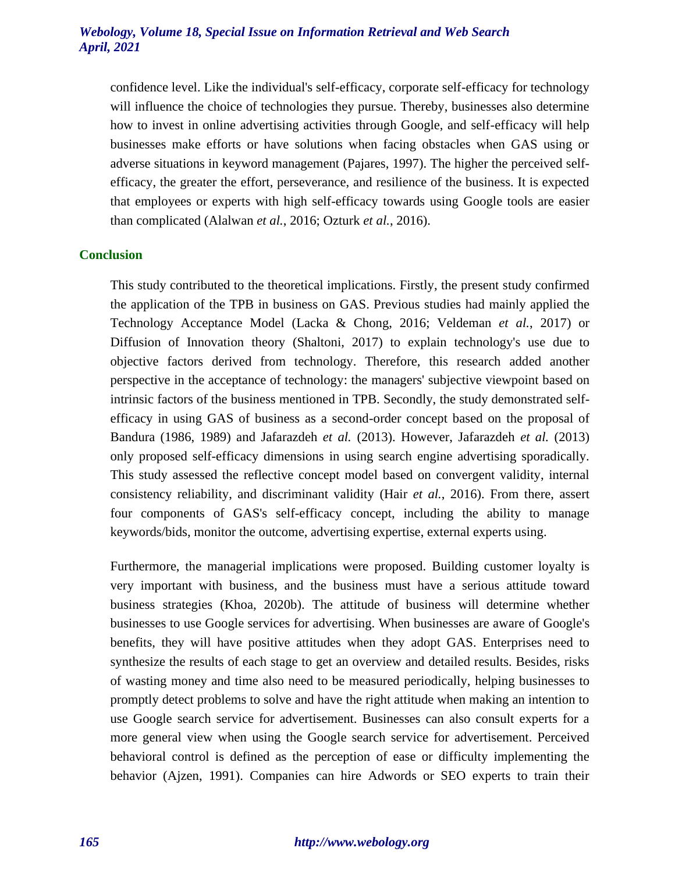confidence level. Like the individual's self-efficacy, corporate self-efficacy for technology will influence the choice of technologies they pursue. Thereby, businesses also determine how to invest in online advertising activities through Google, and self-efficacy will help businesses make efforts or have solutions when facing obstacles when GAS using or adverse situations in keyword management (Pajares, 1997). The higher the perceived selfefficacy, the greater the effort, perseverance, and resilience of the business. It is expected that employees or experts with high self-efficacy towards using Google tools are easier than complicated (Alalwan *et al.*, 2016; Ozturk *et al.*, 2016).

#### **Conclusion**

This study contributed to the theoretical implications. Firstly, the present study confirmed the application of the TPB in business on GAS. Previous studies had mainly applied the Technology Acceptance Model (Lacka & Chong, 2016; Veldeman *et al.*, 2017) or Diffusion of Innovation theory (Shaltoni, 2017) to explain technology's use due to objective factors derived from technology. Therefore, this research added another perspective in the acceptance of technology: the managers' subjective viewpoint based on intrinsic factors of the business mentioned in TPB. Secondly, the study demonstrated selfefficacy in using GAS of business as a second-order concept based on the proposal of Bandura (1986, 1989) and Jafarazdeh *et al.* (2013). However, Jafarazdeh *et al.* (2013) only proposed self-efficacy dimensions in using search engine advertising sporadically. This study assessed the reflective concept model based on convergent validity, internal consistency reliability, and discriminant validity (Hair *et al.*, 2016). From there, assert four components of GAS's self-efficacy concept, including the ability to manage keywords/bids, monitor the outcome, advertising expertise, external experts using.

Furthermore, the managerial implications were proposed. Building customer loyalty is very important with business, and the business must have a serious attitude toward business strategies (Khoa, 2020b). The attitude of business will determine whether businesses to use Google services for advertising. When businesses are aware of Google's benefits, they will have positive attitudes when they adopt GAS. Enterprises need to synthesize the results of each stage to get an overview and detailed results. Besides, risks of wasting money and time also need to be measured periodically, helping businesses to promptly detect problems to solve and have the right attitude when making an intention to use Google search service for advertisement. Businesses can also consult experts for a more general view when using the Google search service for advertisement. Perceived behavioral control is defined as the perception of ease or difficulty implementing the behavior (Ajzen, 1991). Companies can hire Adwords or SEO experts to train their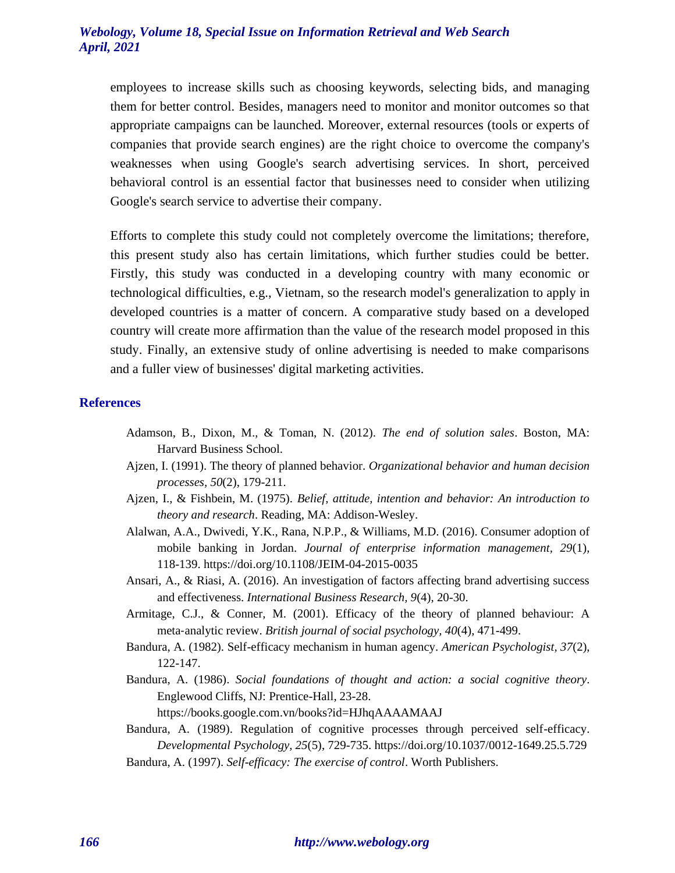employees to increase skills such as choosing keywords, selecting bids, and managing them for better control. Besides, managers need to monitor and monitor outcomes so that appropriate campaigns can be launched. Moreover, external resources (tools or experts of companies that provide search engines) are the right choice to overcome the company's weaknesses when using Google's search advertising services. In short, perceived behavioral control is an essential factor that businesses need to consider when utilizing Google's search service to advertise their company.

Efforts to complete this study could not completely overcome the limitations; therefore, this present study also has certain limitations, which further studies could be better. Firstly, this study was conducted in a developing country with many economic or technological difficulties, e.g., Vietnam, so the research model's generalization to apply in developed countries is a matter of concern. A comparative study based on a developed country will create more affirmation than the value of the research model proposed in this study. Finally, an extensive study of online advertising is needed to make comparisons and a fuller view of businesses' digital marketing activities.

#### **References**

- Adamson, B., Dixon, M., & Toman, N. (2012). *The end of solution sales*. Boston, MA: Harvard Business School.
- Ajzen, I. (1991). The theory of planned behavior. *Organizational behavior and human decision processes, 50*(2), 179-211.
- Ajzen, I., & Fishbein, M. (1975). *Belief, attitude, intention and behavior: An introduction to theory and research*. Reading, MA: Addison-Wesley.
- Alalwan, A.A., Dwivedi, Y.K., Rana, N.P.P., & Williams, M.D. (2016). Consumer adoption of mobile banking in Jordan. *Journal of enterprise information management, 29*(1), 118-139. https://doi.org/10.1108/JEIM-04-2015-0035
- Ansari, A., & Riasi, A. (2016). An investigation of factors affecting brand advertising success and effectiveness. *International Business Research, 9*(4), 20-30.
- Armitage, C.J., & Conner, M. (2001). Efficacy of the theory of planned behaviour: A meta‐analytic review. *British journal of social psychology, 40*(4), 471-499.
- Bandura, A. (1982). Self-efficacy mechanism in human agency. *American Psychologist, 37*(2), 122-147.
- Bandura, A. (1986). *Social foundations of thought and action: a social cognitive theory*. Englewood Cliffs, NJ: Prentice-Hall, 23-28.

https://books.google.com.vn/books?id=HJhqAAAAMAAJ

- Bandura, A. (1989). Regulation of cognitive processes through perceived self-efficacy. *Developmental Psychology, 25*(5), 729-735. https://doi.org/10.1037/0012-1649.25.5.729
- Bandura, A. (1997). *Self-efficacy: The exercise of control*. Worth Publishers.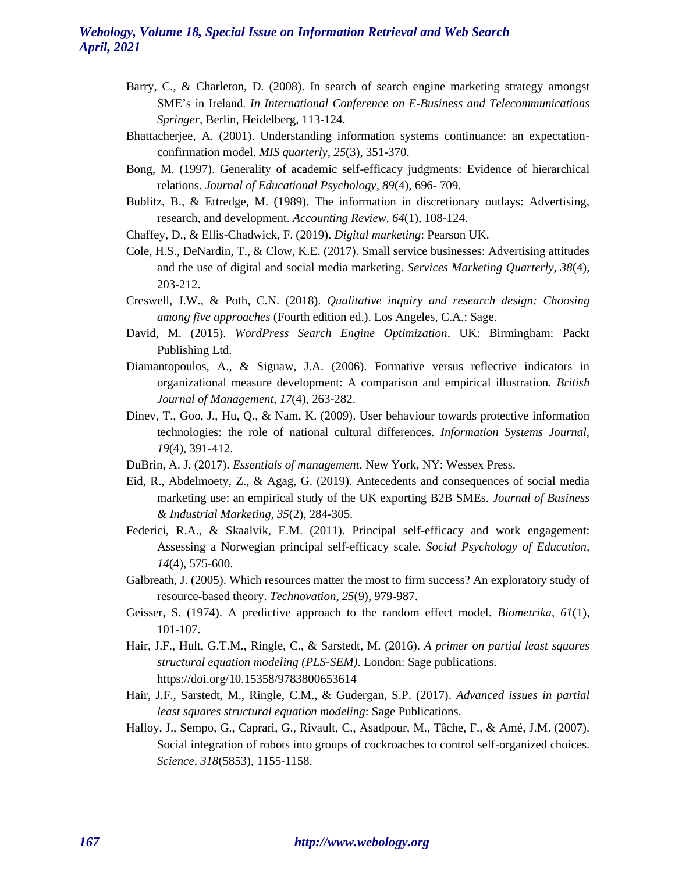- Barry, C., & Charleton, D. (2008). In search of search engine marketing strategy amongst SME's in Ireland. *In International Conference on E-Business and Telecommunications Springer,* Berlin, Heidelberg, 113-124.
- Bhattacherjee, A. (2001). Understanding information systems continuance: an expectationconfirmation model. *MIS quarterly, 25*(3), 351-370.
- Bong, M. (1997). Generality of academic self-efficacy judgments: Evidence of hierarchical relations. *Journal of Educational Psychology, 89*(4), 696- 709.
- Bublitz, B., & Ettredge, M. (1989). The information in discretionary outlays: Advertising, research, and development. *Accounting Review, 64*(1), 108-124.
- Chaffey, D., & Ellis-Chadwick, F. (2019). *Digital marketing*: Pearson UK.
- Cole, H.S., DeNardin, T., & Clow, K.E. (2017). Small service businesses: Advertising attitudes and the use of digital and social media marketing. *Services Marketing Quarterly, 38*(4), 203-212.
- Creswell, J.W., & Poth, C.N. (2018). *Qualitative inquiry and research design: Choosing among five approaches* (Fourth edition ed.). Los Angeles, C.A.: Sage.
- David, M. (2015). *WordPress Search Engine Optimization*. UK: Birmingham: Packt Publishing Ltd.
- Diamantopoulos, A., & Siguaw, J.A. (2006). Formative versus reflective indicators in organizational measure development: A comparison and empirical illustration. *British Journal of Management, 17*(4), 263-282.
- Dinev, T., Goo, J., Hu, Q., & Nam, K. (2009). User behaviour towards protective information technologies: the role of national cultural differences. *Information Systems Journal, 19*(4), 391-412.
- DuBrin, A. J. (2017). *Essentials of management*. New York, NY: Wessex Press.
- Eid, R., Abdelmoety, Z., & Agag, G. (2019). Antecedents and consequences of social media marketing use: an empirical study of the UK exporting B2B SMEs. *Journal of Business & Industrial Marketing, 35*(2), 284-305.
- Federici, R.A., & Skaalvik, E.M. (2011). Principal self-efficacy and work engagement: Assessing a Norwegian principal self-efficacy scale. *Social Psychology of Education, 14*(4), 575-600.
- Galbreath, J. (2005). Which resources matter the most to firm success? An exploratory study of resource-based theory. *Technovation, 25*(9), 979-987.
- Geisser, S. (1974). A predictive approach to the random effect model. *Biometrika, 61*(1), 101-107.
- Hair, J.F., Hult, G.T.M., Ringle, C., & Sarstedt, M. (2016). *A primer on partial least squares structural equation modeling (PLS-SEM)*. London: Sage publications. https://doi.org/10.15358/9783800653614
- Hair, J.F., Sarstedt, M., Ringle, C.M., & Gudergan, S.P. (2017). *Advanced issues in partial least squares structural equation modeling*: Sage Publications.
- Halloy, J., Sempo, G., Caprari, G., Rivault, C., Asadpour, M., Tâche, F., & Amé, J.M. (2007). Social integration of robots into groups of cockroaches to control self-organized choices. *Science, 318*(5853), 1155-1158.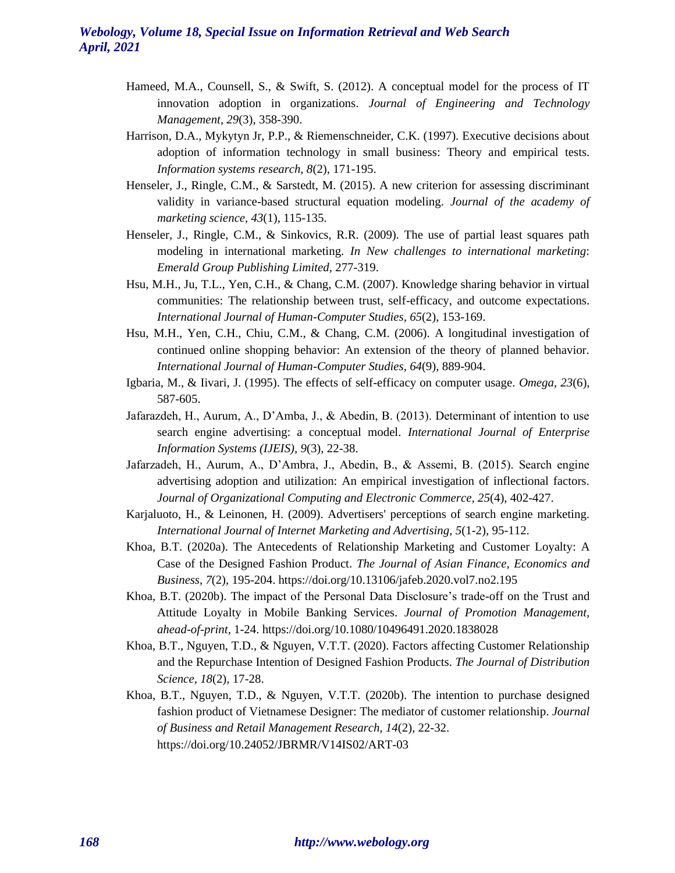- Hameed, M.A., Counsell, S., & Swift, S. (2012). A conceptual model for the process of IT innovation adoption in organizations. *Journal of Engineering and Technology Management, 29*(3), 358-390.
- Harrison, D.A., Mykytyn Jr, P.P., & Riemenschneider, C.K. (1997). Executive decisions about adoption of information technology in small business: Theory and empirical tests. *Information systems research, 8*(2), 171-195.
- Henseler, J., Ringle, C.M., & Sarstedt, M. (2015). A new criterion for assessing discriminant validity in variance-based structural equation modeling. *Journal of the academy of marketing science, 43*(1), 115-135.
- Henseler, J., Ringle, C.M., & Sinkovics, R.R. (2009). The use of partial least squares path modeling in international marketing. *In New challenges to international marketing*: *Emerald Group Publishing Limited,* 277-319.
- Hsu, M.H., Ju, T.L., Yen, C.H., & Chang, C.M. (2007). Knowledge sharing behavior in virtual communities: The relationship between trust, self-efficacy, and outcome expectations. *International Journal of Human-Computer Studies, 65*(2), 153-169.
- Hsu, M.H., Yen, C.H., Chiu, C.M., & Chang, C.M. (2006). A longitudinal investigation of continued online shopping behavior: An extension of the theory of planned behavior. *International Journal of Human-Computer Studies, 64*(9), 889-904.
- Igbaria, M., & Iivari, J. (1995). The effects of self-efficacy on computer usage. *Omega, 23*(6), 587-605.
- Jafarazdeh, H., Aurum, A., D'Amba, J., & Abedin, B. (2013). Determinant of intention to use search engine advertising: a conceptual model. *International Journal of Enterprise Information Systems (IJEIS), 9*(3), 22-38.
- Jafarzadeh, H., Aurum, A., D'Ambra, J., Abedin, B., & Assemi, B. (2015). Search engine advertising adoption and utilization: An empirical investigation of inflectional factors. *Journal of Organizational Computing and Electronic Commerce, 25*(4), 402-427.
- Karjaluoto, H., & Leinonen, H. (2009). Advertisers' perceptions of search engine marketing. *International Journal of Internet Marketing and Advertising, 5*(1-2), 95-112.
- Khoa, B.T. (2020a). The Antecedents of Relationship Marketing and Customer Loyalty: A Case of the Designed Fashion Product. *The Journal of Asian Finance, Economics and Business, 7*(2), 195-204. https://doi.org/10.13106/jafeb.2020.vol7.no2.195
- Khoa, B.T. (2020b). The impact of the Personal Data Disclosure's trade-off on the Trust and Attitude Loyalty in Mobile Banking Services. *Journal of Promotion Management, ahead-of-print,* 1-24. https://doi.org/10.1080/10496491.2020.1838028
- Khoa, B.T., Nguyen, T.D., & Nguyen, V.T.T. (2020). Factors affecting Customer Relationship and the Repurchase Intention of Designed Fashion Products. *The Journal of Distribution Science, 18*(2), 17-28.
- Khoa, B.T., Nguyen, T.D., & Nguyen, V.T.T. (2020b). The intention to purchase designed fashion product of Vietnamese Designer: The mediator of customer relationship. *Journal of Business and Retail Management Research, 14*(2), 22-32. https://doi.org/10.24052/JBRMR/V14IS02/ART-03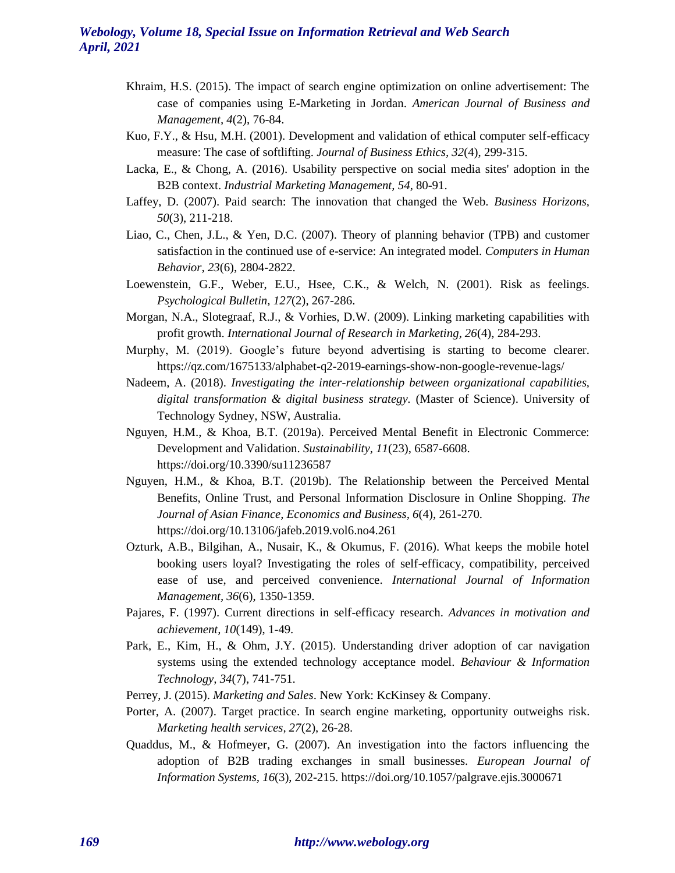- Khraim, H.S. (2015). The impact of search engine optimization on online advertisement: The case of companies using E-Marketing in Jordan. *American Journal of Business and Management, 4*(2), 76-84.
- Kuo, F.Y., & Hsu, M.H. (2001). Development and validation of ethical computer self-efficacy measure: The case of softlifting. *Journal of Business Ethics, 32*(4), 299-315.
- Lacka, E., & Chong, A. (2016). Usability perspective on social media sites' adoption in the B2B context. *Industrial Marketing Management, 54*, 80-91.
- Laffey, D. (2007). Paid search: The innovation that changed the Web. *Business Horizons, 50*(3), 211-218.
- Liao, C., Chen, J.L., & Yen, D.C. (2007). Theory of planning behavior (TPB) and customer satisfaction in the continued use of e-service: An integrated model. *Computers in Human Behavior, 23*(6), 2804-2822.
- Loewenstein, G.F., Weber, E.U., Hsee, C.K., & Welch, N. (2001). Risk as feelings. *Psychological Bulletin, 127*(2), 267-286.
- Morgan, N.A., Slotegraaf, R.J., & Vorhies, D.W. (2009). Linking marketing capabilities with profit growth. *International Journal of Research in Marketing, 26*(4), 284-293.
- Murphy, M. (2019). Google's future beyond advertising is starting to become clearer. https://qz.com/1675133/alphabet-q2-2019-earnings-show-non-google-revenue-lags/
- Nadeem, A. (2018). *Investigating the inter-relationship between organizational capabilities, digital transformation & digital business strategy.* (Master of Science). University of Technology Sydney, NSW, Australia.
- Nguyen, H.M., & Khoa, B.T. (2019a). Perceived Mental Benefit in Electronic Commerce: Development and Validation. *Sustainability, 11*(23), 6587-6608. https://doi.org/10.3390/su11236587
- Nguyen, H.M., & Khoa, B.T. (2019b). The Relationship between the Perceived Mental Benefits, Online Trust, and Personal Information Disclosure in Online Shopping. *The Journal of Asian Finance, Economics and Business, 6*(4), 261-270. https://doi.org/10.13106/jafeb.2019.vol6.no4.261
- Ozturk, A.B., Bilgihan, A., Nusair, K., & Okumus, F. (2016). What keeps the mobile hotel booking users loyal? Investigating the roles of self-efficacy, compatibility, perceived ease of use, and perceived convenience. *International Journal of Information Management, 36*(6), 1350-1359.
- Pajares, F. (1997). Current directions in self-efficacy research. *Advances in motivation and achievement, 10*(149), 1-49.
- Park, E., Kim, H., & Ohm, J.Y. (2015). Understanding driver adoption of car navigation systems using the extended technology acceptance model. *Behaviour & Information Technology, 34*(7), 741-751.
- Perrey, J. (2015). *Marketing and Sales*. New York: KcKinsey & Company.
- Porter, A. (2007). Target practice. In search engine marketing, opportunity outweighs risk. *Marketing health services, 27*(2), 26-28.
- Quaddus, M., & Hofmeyer, G. (2007). An investigation into the factors influencing the adoption of B2B trading exchanges in small businesses. *European Journal of Information Systems, 16*(3), 202-215. https://doi.org/10.1057/palgrave.ejis.3000671